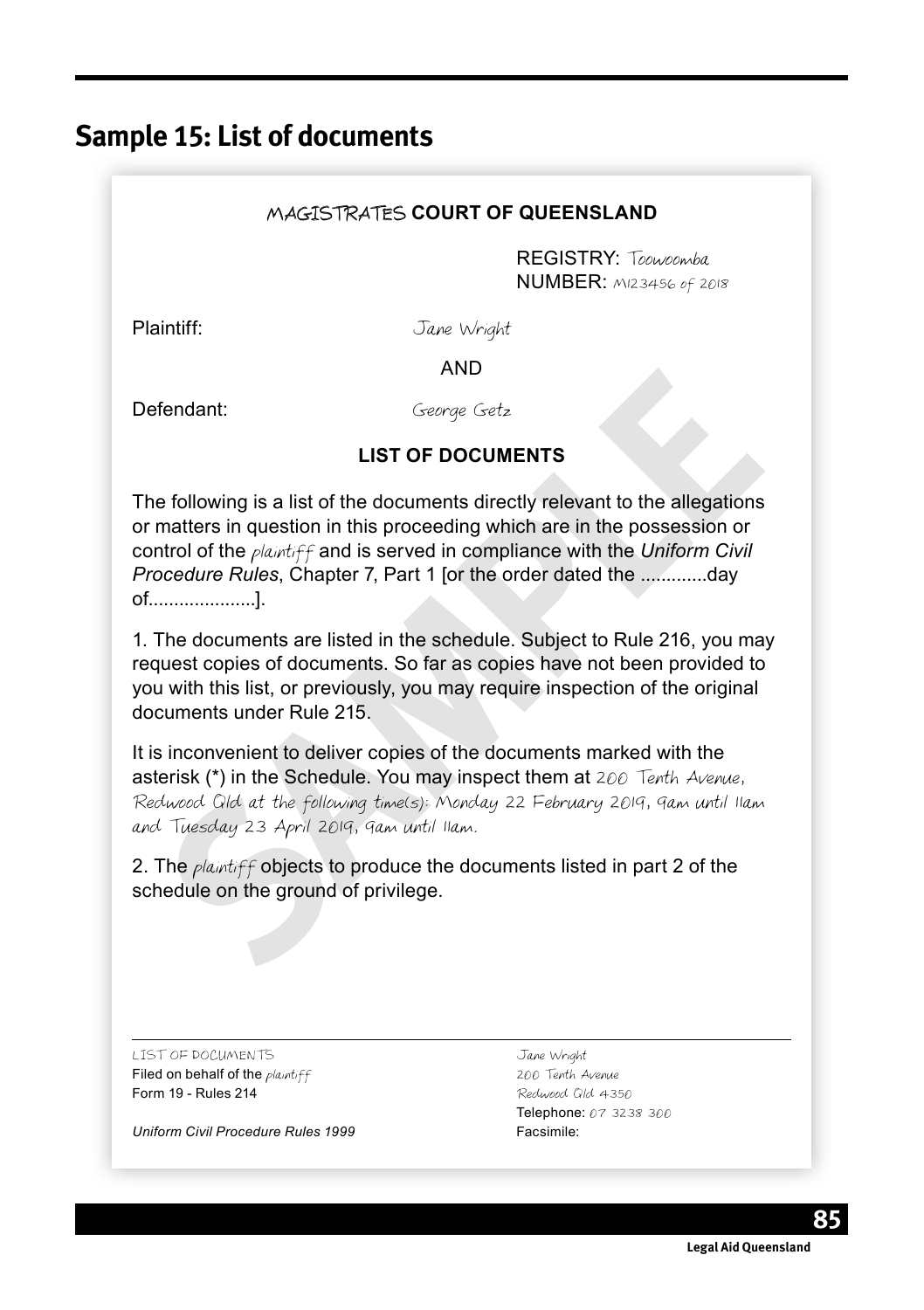# **Sample 15: List of documents**

## MAGISTRATES **COURT OF QUEENSLAND**

REGISTRY: Toowoomba NUMBER: M123456 of 2018

Plaintiff: Jane Wright

AND

Defendant: George Getz

## **LIST OF DOCUMENTS**

**Example 10**<br> **Secorge Getz**<br> **LIST OF DOCUMENTS**<br> **LIST OF DOCUMENTS**<br> **Examples the documents directly relevant to the allegations**<br>
matters in question in this proceeding which are in the possession or<br>
moreodure Rules, The following is a list of the documents directly relevant to the allegations or matters in question in this proceeding which are in the possession or control of the plaintiff and is served in compliance with the *Uniform Civil Procedure Rules*, Chapter 7, Part 1 [or the order dated the .............day of.....................].

1. The documents are listed in the schedule. Subject to Rule 216, you may request copies of documents. So far as copies have not been provided to you with this list, or previously, you may require inspection of the original documents under Rule 215.

It is inconvenient to deliver copies of the documents marked with the asterisk (\*) in the Schedule. You may inspect them at 200 Tenth Avenue, Redwood Qld at the following time(s): Monday 22 February 2019, 9am until 11am and Tuesday 23 April 2019, 9am until 11am.

2. The *plaintiff* objects to produce the documents listed in part 2 of the schedule on the ground of privilege.

LIST OF DOCUMENTS Jane Wright Filed on behalf of the *plaintiff* 200 Tenth Avenue Form 19 - Rules 214 **Redwood Qld 4350** 

*Uniform Civil Procedure Rules 1999* Facsimile:

Telephone: 07 3238 300